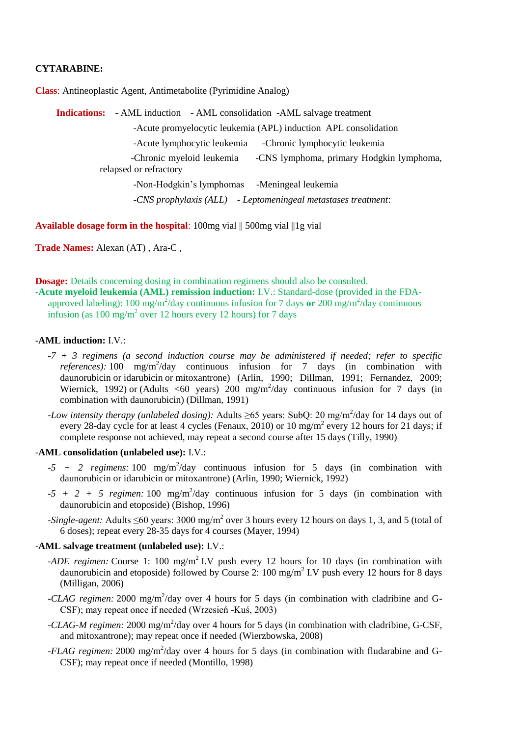## **CYTARABINE:**

**Class**: Antineoplastic Agent, Antimetabolite (Pyrimidine Analog)

**Indications:** - AML induction - AML consolidation -AML salvage treatment -Acute promyelocytic leukemia (APL) induction APL consolidation -Acute lymphocytic leukemia -Chronic lymphocytic leukemia -Chronic myeloid leukemia -CNS lymphoma, primary Hodgkin lymphoma, relapsed or refractory -Non-Hodgkin's lymphomas -Meningeal leukemia -*CNS prophylaxis (ALL) - Leptomeningeal metastases treatment*:

**Available dosage form in the hospital:** 100mg vial  $\parallel$  500mg vial  $\parallel$ 1g vial

**Trade Names:** Alexan (AT) , Ara-C ,

**Dosage:** Details concerning dosing in combination regimens should also be consulted.

**-Acute myeloid leukemia (AML) remission induction:** I.V.: Standard-dose (provided in the FDAapproved labeling): 100 mg/m<sup>2</sup>/day continuous infusion for 7 days or 200 mg/m<sup>2</sup>/day continuous infusion (as  $100 \text{ mg/m}^2$  over 12 hours every 12 hours) for 7 days

## -**AML induction:** I.V.:

- *-7 + 3 regimens (a second induction course may be administered if needed; refer to specific*  references): 100 mg/m<sup>2</sup>/day continuous infusion for 7 days (in combination with daunorubicin or idarubicin or mitoxantrone) (Arlin, 1990; Dillman, 1991; Fernandez, 2009; Wiernick, 1992) or (Adults <60 years) 200 mg/m<sup>2</sup>/day continuous infusion for 7 days (in combination with daunorubicin) (Dillman, 1991)
- *-Low intensity therapy (unlabeled dosing):* Adults ≥65 years: SubQ: 20 mg/m<sup>2</sup>/day for 14 days out of every 28-day cycle for at least 4 cycles (Fenaux, 2010) or 10  $mg/m^2$  every 12 hours for 21 days; if complete response not achieved, may repeat a second course after 15 days (Tilly, 1990)

### -**AML consolidation (unlabeled use):** I.V.:

- $-5 + 2$  regimens: 100 mg/m<sup>2</sup>/day continuous infusion for 5 days (in combination with daunorubicin or idarubicin or mitoxantrone) (Arlin, 1990; Wiernick, 1992)
- $-5 + 2 + 5$  regimen: 100 mg/m<sup>2</sup>/day continuous infusion for 5 days (in combination with daunorubicin and etoposide) (Bishop, 1996)
- *-Single-agent:* Adults ≤60 years: 3000 mg/m<sup>2</sup> over 3 hours every 12 hours on days 1, 3, and 5 (total of 6 doses); repeat every 28-35 days for 4 courses (Mayer, 1994)

## -**AML salvage treatment (unlabeled use):** I.V.:

- *-ADE regimen:* Course 1: 100 mg/m<sup>2</sup> I.V push every 12 hours for 10 days (in combination with daunorubicin and etoposide) followed by Course 2: 100 mg/m<sup>2</sup> I.V push every 12 hours for 8 days (Milligan, 2006)
- *-CLAG regimen:* 2000 mg/m<sup>2</sup>/day over 4 hours for 5 days (in combination with cladribine and G-CSF); may repeat once if needed (Wrzesień -Kuś, 2003)
- *-CLAG-M regimen:* 2000 mg/m<sup>2</sup>/day over 4 hours for 5 days (in combination with cladribine, G-CSF, and mitoxantrone); may repeat once if needed (Wierzbowska, 2008)
- *-FLAG regimen:* 2000 mg/m<sup>2</sup>/day over 4 hours for 5 days (in combination with fludarabine and G-CSF); may repeat once if needed (Montillo, 1998)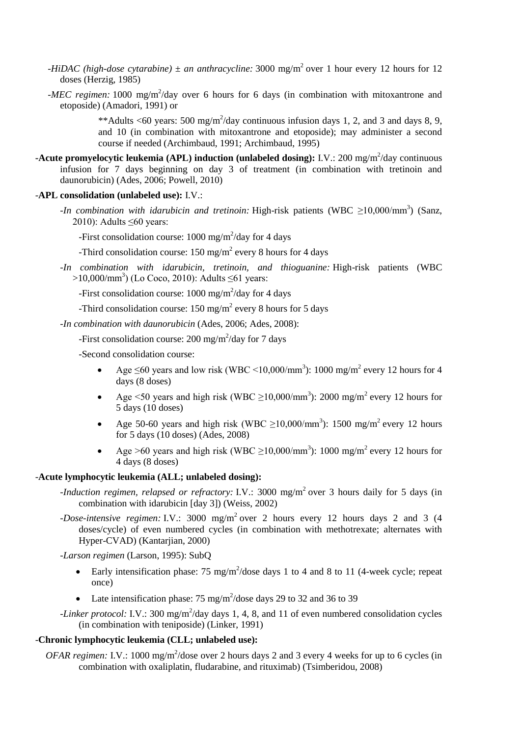- *-HiDAC (high-dose cytarabine)*  $\pm$  *an anthracycline:* 3000 mg/m<sup>2</sup> over 1 hour every 12 hours for 12 doses (Herzig, 1985)
- *-MEC regimen:* 1000 mg/m<sup>2</sup>/day over 6 hours for 6 days (in combination with mitoxantrone and etoposide) (Amadori, 1991) or

\*\*Adults <60 years: 500 mg/m<sup>2</sup>/day continuous infusion days 1, 2, and 3 and days 8, 9, and 10 (in combination with mitoxantrone and etoposide); may administer a second course if needed (Archimbaud, 1991; Archimbaud, 1995)

**-Acute promyelocytic leukemia (APL) induction (unlabeled dosing):** I.V.: 200 mg/m<sup>2</sup>/day continuous infusion for 7 days beginning on day 3 of treatment (in combination with tretinoin and daunorubicin) (Ades, 2006; Powell, 2010)

## -**APL consolidation (unlabeled use):** I.V.:

*-In combination with idarubicin and tretinoin:* High-risk patients (WBC ≥10,000/mm<sup>3</sup>) (Sanz, 2010): Adults  $\leq 60$  years:

-First consolidation course: 1000 mg/m<sup>2</sup>/day for 4 days

-Third consolidation course:  $150 \text{ mg/m}^2$  every 8 hours for 4 days

*-In combination with idarubicin, tretinoin, and thioguanine:* High-risk patients (WBC >10,000/mm<sup>3</sup>) (Lo Coco, 2010): Adults ≤61 years:

-First consolidation course:  $1000 \text{ mg/m}^2/\text{day}$  for 4 days

-Third consolidation course:  $150 \text{ mg/m}^2$  every 8 hours for 5 days

*-In combination with daunorubicin* (Ades, 2006; Ades, 2008):

-First consolidation course: 200 mg/m<sup>2</sup>/day for 7 days

-Second consolidation course:

- Age  $\leq 60$  years and low risk (WBC <10,000/mm<sup>3</sup>): 1000 mg/m<sup>2</sup> every 12 hours for 4 days (8 doses)
- Age <50 years and high risk (WBC  $\geq$ 10,000/mm<sup>3</sup>): 2000 mg/m<sup>2</sup> every 12 hours for 5 days (10 doses)
- Age 50-60 years and high risk (WBC  $\geq 10,000/\text{mm}^3$ ): 1500 mg/m<sup>2</sup> every 12 hours for 5 days (10 doses) (Ades, 2008)
- Age >60 years and high risk (WBC  $\geq$ 10,000/mm<sup>3</sup>): 1000 mg/m<sup>2</sup> every 12 hours for 4 days (8 doses)

## -**Acute lymphocytic leukemia (ALL; unlabeled dosing):**

- *-Induction regimen, relapsed or refractory:* I.V.: 3000 mg/m<sup>2</sup> over 3 hours daily for 5 days (in combination with idarubicin [day 3]) (Weiss, 2002)
- *-Dose-intensive regimen:* I.V.: 3000 mg/m<sup>2</sup> over 2 hours every 12 hours days 2 and 3 (4 doses/cycle) of even numbered cycles (in combination with methotrexate; alternates with Hyper-CVAD) (Kantarjian, 2000)

*-Larson regimen* (Larson, 1995): SubQ

- Early intensification phase: 75 mg/m<sup>2</sup>/dose days 1 to 4 and 8 to 11 (4-week cycle; repeat once)
- Late intensification phase:  $75 \text{ mg/m}^2/\text{dose}$  days 29 to 32 and 36 to 39
- -Linker protocol: I.V.: 300 mg/m<sup>2</sup>/day days 1, 4, 8, and 11 of even numbered consolidation cycles (in combination with teniposide) (Linker, 1991)

## -**Chronic lymphocytic leukemia (CLL; unlabeled use):**

*OFAR regimen:* I.V.: 1000 mg/m<sup>2</sup>/dose over 2 hours days 2 and 3 every 4 weeks for up to 6 cycles (in combination with oxaliplatin, fludarabine, and rituximab) (Tsimberidou, 2008)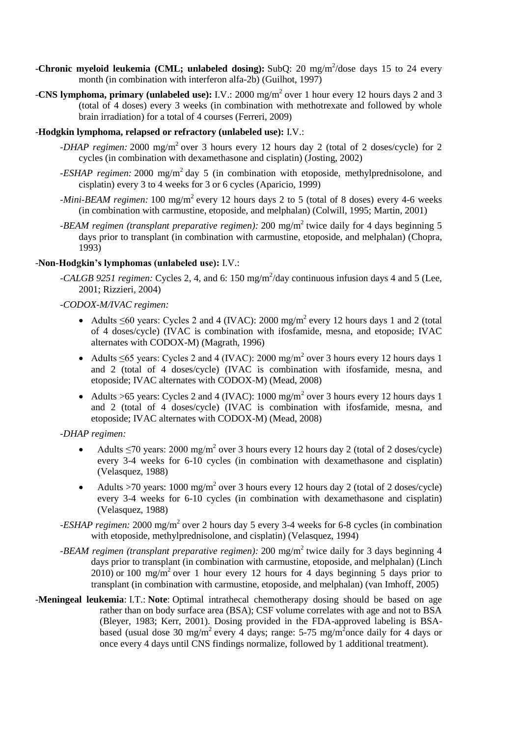- -**Chronic myeloid leukemia (CML; unlabeled dosing):** SubQ: 20 mg/m<sup>2</sup>/dose days 15 to 24 every month (in combination with interferon alfa-2b) (Guilhot, 1997)
- **-CNS lymphoma, primary (unlabeled use):** I.V.: 2000 mg/m<sup>2</sup> over 1 hour every 12 hours days 2 and 3 (total of 4 doses) every 3 weeks (in combination with methotrexate and followed by whole brain irradiation) for a total of 4 courses (Ferreri, 2009)

## -**Hodgkin lymphoma, relapsed or refractory (unlabeled use):** I.V.:

- *-DHAP regimen:* 2000 mg/m<sup>2</sup> over 3 hours every 12 hours day 2 (total of 2 doses/cycle) for 2 cycles (in combination with dexamethasone and cisplatin) (Josting, 2002)
- *-ESHAP regimen:* 2000 mg/m<sup>2</sup> day 5 (in combination with etoposide, methylprednisolone, and cisplatin) every 3 to 4 weeks for 3 or 6 cycles (Aparicio, 1999)
- *-Mini-BEAM regimen:* 100 mg/m<sup>2</sup> every 12 hours days 2 to 5 (total of 8 doses) every 4-6 weeks (in combination with carmustine, etoposide, and melphalan) (Colwill, 1995; Martin, 2001)
- *-BEAM regimen (transplant preparative regimen):* 200 mg/m<sup>2</sup> twice daily for 4 days beginning 5 days prior to transplant (in combination with carmustine, etoposide, and melphalan) (Chopra, 1993)

# -**Non-Hodgkin's lymphomas (unlabeled use):** I.V.:

-*CALGB 9251 regimen:* Cycles 2, 4, and 6: 150 mg/m<sup>2</sup>/day continuous infusion days 4 and 5 (Lee, 2001; Rizzieri, 2004)

## *-CODOX-M/IVAC regimen:*

- Adults  $\leq 60$  years: Cycles 2 and 4 (IVAC): 2000 mg/m<sup>2</sup> every 12 hours days 1 and 2 (total of 4 doses/cycle) (IVAC is combination with ifosfamide, mesna, and etoposide; IVAC alternates with CODOX-M) (Magrath, 1996)
- Adults  $\leq 65$  years: Cycles 2 and 4 (IVAC): 2000 mg/m<sup>2</sup> over 3 hours every 12 hours days 1 and 2 (total of 4 doses/cycle) (IVAC is combination with ifosfamide, mesna, and etoposide; IVAC alternates with CODOX-M) (Mead, 2008)
- Adults >65 years: Cycles 2 and 4 (IVAC):  $1000 \text{ mg/m}^2$  over 3 hours every 12 hours days 1 and 2 (total of 4 doses/cycle) (IVAC is combination with ifosfamide, mesna, and etoposide; IVAC alternates with CODOX-M) (Mead, 2008)

## *-DHAP regimen:*

- Adults  $\leq$ 70 years: 2000 mg/m<sup>2</sup> over 3 hours every 12 hours day 2 (total of 2 doses/cycle) every 3-4 weeks for 6-10 cycles (in combination with dexamethasone and cisplatin) (Velasquez, 1988)
- Adults >70 years:  $1000 \text{ mg/m}^2$  over 3 hours every 12 hours day 2 (total of 2 doses/cycle) every 3-4 weeks for 6-10 cycles (in combination with dexamethasone and cisplatin) (Velasquez, 1988)
- *-ESHAP regimen:* 2000 mg/m<sup>2</sup> over 2 hours day 5 every 3-4 weeks for 6-8 cycles (in combination with etoposide, methylprednisolone, and cisplatin) (Velasquez, 1994)
- *-BEAM regimen (transplant preparative regimen):* 200 mg/m<sup>2</sup> twice daily for 3 days beginning 4 days prior to transplant (in combination with carmustine, etoposide, and melphalan) (Linch  $2010$ ) or 100 mg/m<sup>2</sup> over 1 hour every 12 hours for 4 days beginning 5 days prior to transplant (in combination with carmustine, etoposide, and melphalan) (van Imhoff, 2005)
- -**Meningeal leukemia**: I.T.: **Note**: Optimal intrathecal chemotherapy dosing should be based on age rather than on body surface area (BSA); CSF volume correlates with age and not to BSA (Bleyer, 1983; Kerr, 2001). Dosing provided in the FDA-approved labeling is BSAbased (usual dose 30 mg/m<sup>2</sup> every 4 days; range: 5-75 mg/m<sup>2</sup> once daily for 4 days or once every 4 days until CNS findings normalize, followed by 1 additional treatment).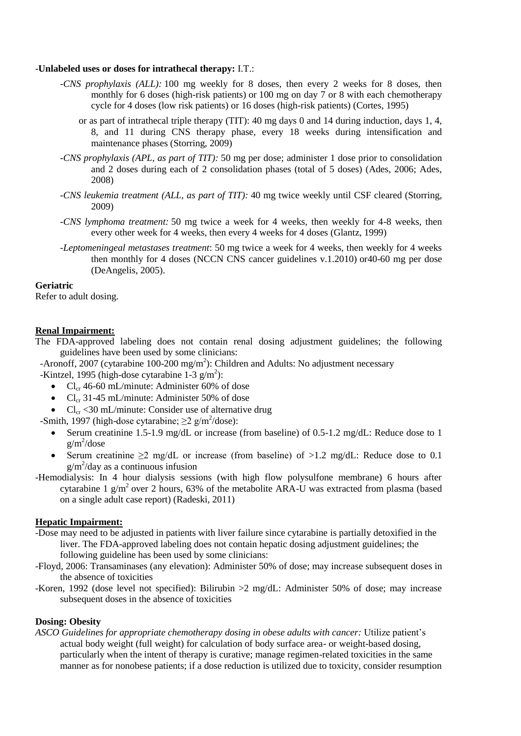## -**Unlabeled uses or doses for intrathecal therapy:** I.T.:

- *-CNS prophylaxis (ALL):* 100 mg weekly for 8 doses, then every 2 weeks for 8 doses, then monthly for 6 doses (high-risk patients) or 100 mg on day 7 or 8 with each chemotherapy cycle for 4 doses (low risk patients) or 16 doses (high-risk patients) (Cortes, 1995)
	- or as part of intrathecal triple therapy (TIT): 40 mg days 0 and 14 during induction, days 1, 4, 8, and 11 during CNS therapy phase, every 18 weeks during intensification and maintenance phases (Storring, 2009)
- *-CNS prophylaxis (APL, as part of TIT):* 50 mg per dose; administer 1 dose prior to consolidation and 2 doses during each of 2 consolidation phases (total of 5 doses) (Ades, 2006; Ades, 2008)
- *-CNS leukemia treatment (ALL, as part of TIT):* 40 mg twice weekly until CSF cleared (Storring, 2009)
- *-CNS lymphoma treatment:* 50 mg twice a week for 4 weeks, then weekly for 4-8 weeks, then every other week for 4 weeks, then every 4 weeks for 4 doses (Glantz, 1999)
- *-Leptomeningeal metastases treatment*: 50 mg twice a week for 4 weeks, then weekly for 4 weeks then monthly for 4 doses (NCCN CNS cancer guidelines v.1.2010) or40-60 mg per dose (DeAngelis, 2005).

## **Geriatric**

Refer to adult dosing.

## **Renal Impairment:**

The FDA-approved labeling does not contain renal dosing adjustment guidelines; the following guidelines have been used by some clinicians:

-Aronoff, 2007 (cytarabine 100-200 mg/m<sup>2</sup>): Children and Adults: No adjustment necessary -Kintzel, 1995 (high-dose cytarabine  $1-3$  g/m<sup>2</sup>):

- $Cl_{cr}$  46-60 mL/minute: Administer 60% of dose
- $Cl_{cr}$  31-45 mL/minute: Administer 50% of dose
- $Cl_{cr} < 30 \text{ mL/minute}$ : Consider use of alternative drug

-Smith, 1997 (high-dose cytarabine;  $\geq 2$  g/m<sup>2</sup>/dose):

- Serum creatinine 1.5-1.9 mg/dL or increase (from baseline) of 0.5-1.2 mg/dL: Reduce dose to 1  $g/m^2$ /dose
- Serum creatinine  $\geq 2$  mg/dL or increase (from baseline) of  $>1.2$  mg/dL: Reduce dose to 0.1  $g/m^2$ /day as a continuous infusion
- -Hemodialysis: In 4 hour dialysis sessions (with high flow polysulfone membrane) 6 hours after cytarabine 1 g/m<sup>2</sup> over 2 hours, 63% of the metabolite ARA-U was extracted from plasma (based on a single adult case report) (Radeski, 2011)

# **Hepatic Impairment:**

- -Dose may need to be adjusted in patients with liver failure since cytarabine is partially detoxified in the liver. The FDA-approved labeling does not contain hepatic dosing adjustment guidelines; the following guideline has been used by some clinicians:
- -Floyd, 2006: Transaminases (any elevation): Administer 50% of dose; may increase subsequent doses in the absence of toxicities
- -Koren, 1992 (dose level not specified): Bilirubin >2 mg/dL: Administer 50% of dose; may increase subsequent doses in the absence of toxicities

## **Dosing: Obesity**

*ASCO Guidelines for appropriate chemotherapy dosing in obese adults with cancer:* Utilize patient's actual body weight (full weight) for calculation of body surface area- or weight-based dosing, particularly when the intent of therapy is curative; manage regimen-related toxicities in the same manner as for nonobese patients; if a dose reduction is utilized due to toxicity, consider resumption